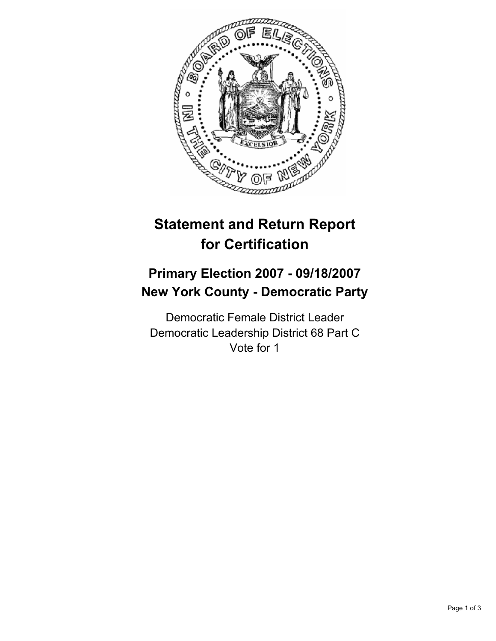

# **Statement and Return Report for Certification**

## **Primary Election 2007 - 09/18/2007 New York County - Democratic Party**

Democratic Female District Leader Democratic Leadership District 68 Part C Vote for 1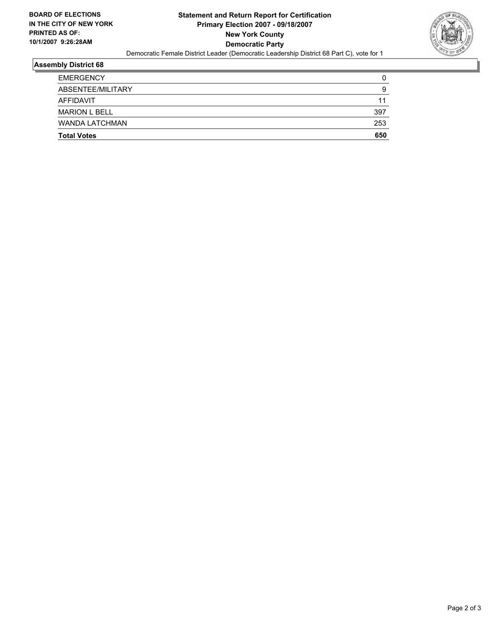

## **Assembly District 68**

| <b>Total Votes</b>    | 650 |
|-----------------------|-----|
| <b>WANDA LATCHMAN</b> | 253 |
| <b>MARION L BELL</b>  | 397 |
| AFFIDAVIT             | 11  |
| ABSENTEE/MILITARY     | g   |
| <b>EMERGENCY</b>      |     |